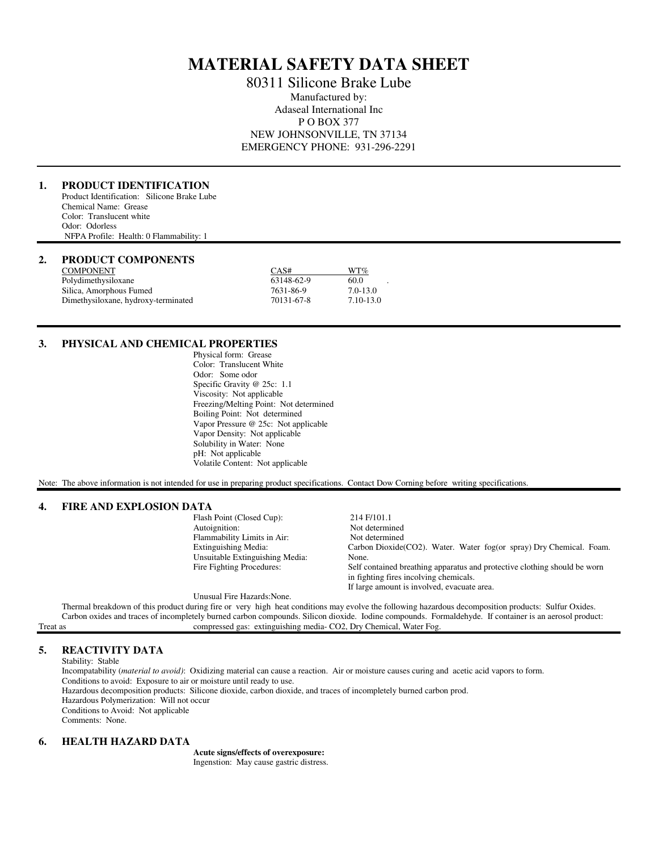# **MATERIAL SAFETY DATA SHEET**

80311 Silicone Brake Lube Manufactured by: Adaseal International Inc P O BOX 377 NEW JOHNSONVILLE, TN 37134 EMERGENCY PHONE: 931-296-2291

# **1. PRODUCT IDENTIFICATION**

Product Identification: Silicone Brake Lube Chemical Name: Grease Color: Translucent white Odor: Odorless NFPA Profile: Health: 0 Flammability: 1

#### **2. PRODUCT COMPONENTS**

| <b>COMPONENT</b>                    | CAS#       | WT%          |
|-------------------------------------|------------|--------------|
| Polydimethysiloxane                 | 63148-62-9 | 60.0         |
| Silica, Amorphous Fumed             | 7631-86-9  | $7.0 - 13.0$ |
| Dimethysiloxane, hydroxy-terminated | 70131-67-8 | 7.10-13.0    |

#### **3. PHYSICAL AND CHEMICAL PROPERTIES**

 Physical form: Grease Color: Translucent White Odor: Some odor Specific Gravity @ 25c: 1.1 Viscosity: Not applicable Freezing/Melting Point: Not determined Boiling Point: Not determined Vapor Pressure @ 25c: Not applicable Vapor Density: Not applicable Solubility in Water: None pH: Not applicable Volatile Content: Not applicable

Note: The above information is not intended for use in preparing product specifications. Contact Dow Corning before writing specifications.

#### **4. FIRE AND EXPLOSION DATA**

| FINE AND EAFLOSION DATA |                                 |                                                                           |
|-------------------------|---------------------------------|---------------------------------------------------------------------------|
|                         | Flash Point (Closed Cup):       | 214 F/101.1                                                               |
|                         | Autoignition:                   | Not determined                                                            |
|                         | Flammability Limits in Air:     | Not determined                                                            |
|                         | Extinguishing Media:            | Carbon Dioxide(CO2). Water. Water fog(or spray) Dry Chemical. Foam.       |
|                         | Unsuitable Extinguishing Media: | None.                                                                     |
|                         | Fire Fighting Procedures:       | Self contained breathing apparatus and protective clothing should be worn |
|                         |                                 | in fighting fires incolving chemicals.                                    |
|                         |                                 | If large amount is involved, evacuate area.                               |

Unusual Fire Hazards:None.

 Thermal breakdown of this product during fire or very high heat conditions may evolve the following hazardous decomposition products: Sulfur Oxides. Carbon oxides and traces of incompletely burned carbon compounds. Silicon dioxide. Iodine compounds. Formaldehyde. If container is an aerosol product:<br>Treat as compressed gas: extinguishing media-CO2, Dry Chemical, Water F compressed gas: extinguishing media- CO2, Dry Chemical, Water Fog.

# **5. REACTIVITY DATA**

Stability: Stable

 Incompatability (*material to avoid)*: Oxidizing material can cause a reaction. Air or moisture causes curing and acetic acid vapors to form. Conditions to avoid: Exposure to air or moisture until ready to use. Hazardous decomposition products: Silicone dioxide, carbon dioxide, and traces of incompletely burned carbon prod. Hazardous Polymerization: Will not occur Conditions to Avoid: Not applicable Comments: None.

## **6. HEALTH HAZARD DATA**

 **Acute signs/effects of overexposure:** Ingenstion: May cause gastric distress.